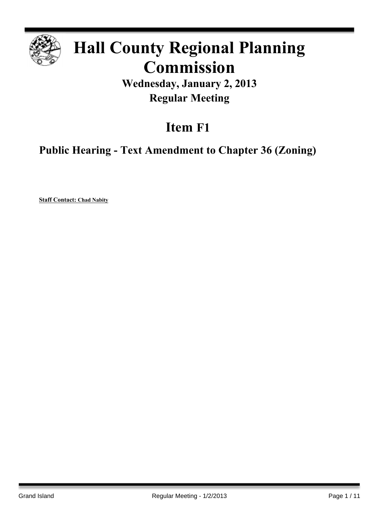

# **Hall County Regional Planning Commission**

**Wednesday, January 2, 2013 Regular Meeting**

# **Item F1**

**Public Hearing - Text Amendment to Chapter 36 (Zoning)**

**Staff Contact: Chad Nabity**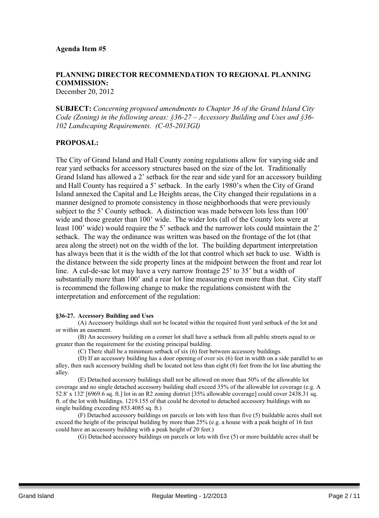## **PLANNING DIRECTOR RECOMMENDATION TO REGIONAL PLANNING COMMISSION:**

December 20, 2012

**SUBJECT:** *Concerning proposed amendments to Chapter 36 of the Grand Island City Code (Zoning) in the following areas: §36-27 – Accessory Building and Uses and §36- 102 Landscaping Requirements. (C-05-2013GI)*

### **PROPOSAL:**

The City of Grand Island and Hall County zoning regulations allow for varying side and rear yard setbacks for accessory structures based on the size of the lot. Traditionally Grand Island has allowed a 2' setback for the rear and side yard for an accessory building and Hall County has required a 5' setback. In the early 1980's when the City of Grand Island annexed the Capital and Le Heights areas, the City changed their regulations in a manner designed to promote consistency in those neighborhoods that were previously subject to the 5' County setback. A distinction was made between lots less than 100' wide and those greater than 100' wide. The wider lots (all of the County lots were at least 100' wide) would require the 5' setback and the narrower lots could maintain the 2' setback. The way the ordinance was written was based on the frontage of the lot (that area along the street) not on the width of the lot. The building department interpretation has always been that it is the width of the lot that control which set back to use. Width is the distance between the side property lines at the midpoint between the front and rear lot line. A cul-de-sac lot may have a very narrow frontage 25' to 35' but a width of substantially more than 100' and a rear lot line measuring even more than that. City staff is recommend the following change to make the regulations consistent with the interpretation and enforcement of the regulation:

#### **§36-27. Accessory Building and Uses**

(A) Accessory buildings shall not be located within the required front yard setback of the lot and or within an easement.

(B) An accessory building on a corner lot shall have a setback from all public streets equal to or greater than the requirement for the existing principal building.

(C) There shall be a minimum setback of six (6) feet between accessory buildings.

(D) If an accessory building has a door opening of over six (6) feet in width on a side parallel to an alley, then such accessory building shall be located not less than eight (8) feet from the lot line abutting the alley.

(E) Detached accessory buildings shall not be allowed on more than 50% of the allowable lot coverage and no single detached accessory building shall exceed 35% of the allowable lot coverage (e.g. A 52.8' x 132' [6969.6 sq. ft.] lot in an R2 zoning district [35% allowable coverage] could cover 2438.31 sq. ft. of the lot with buildings. 1219.155 of that could be devoted to detached accessory buildings with no single building exceeding 853.4085 sq. ft.)

(F) Detached accessory buildings on parcels or lots with less than five (5) buildable acres shall not exceed the height of the principal building by more than 25% (e.g. a house with a peak height of 16 feet could have an accessory building with a peak height of 20 feet.)

(G) Detached accessory buildings on parcels or lots with five (5) or more buildable acres shall be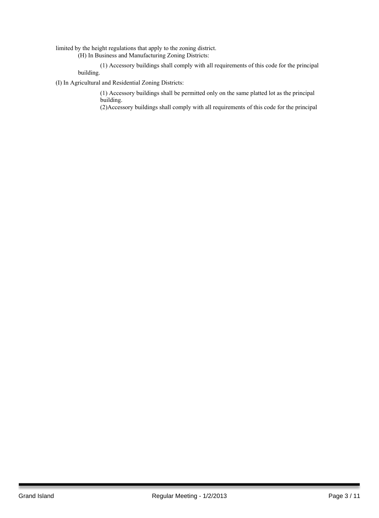limited by the height regulations that apply to the zoning district.

(H) In Business and Manufacturing Zoning Districts:

(1) Accessory buildings shall comply with all requirements of this code for the principal building.

(I) In Agricultural and Residential Zoning Districts:

(1) Accessory buildings shall be permitted only on the same platted lot as the principal building.

(2)Accessory buildings shall comply with all requirements of this code for the principal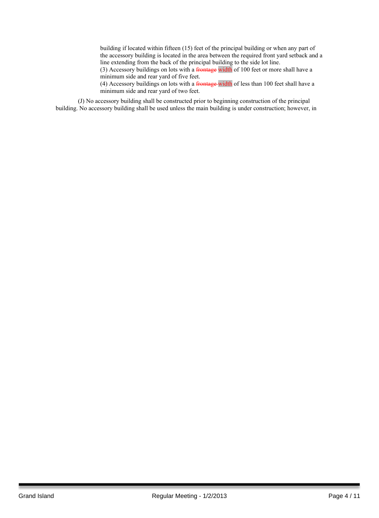building if located within fifteen (15) feet of the principal building or when any part of the accessory building is located in the area between the required front yard setback and a line extending from the back of the principal building to the side lot line.

(3) Accessory buildings on lots with a frontage width of 100 feet or more shall have a minimum side and rear yard of five feet.

(4) Accessory buildings on lots with a frontage width of less than 100 feet shall have a minimum side and rear yard of two feet.

(J) No accessory building shall be constructed prior to beginning construction of the principal building. No accessory building shall be used unless the main building is under construction; however, in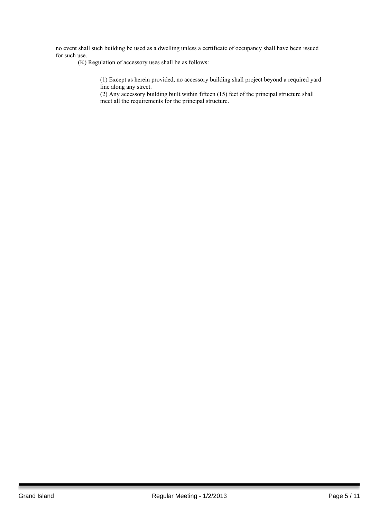no event shall such building be used as a dwelling unless a certificate of occupancy shall have been issued for such use.

(K) Regulation of accessory uses shall be as follows:

(1) Except as herein provided, no accessory building shall project beyond a required yard line along any street.

(2) Any accessory building built within fifteen (15) feet of the principal structure shall meet all the requirements for the principal structure.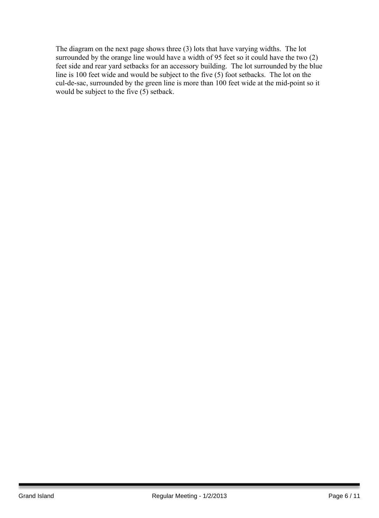The diagram on the next page shows three (3) lots that have varying widths. The lot surrounded by the orange line would have a width of 95 feet so it could have the two (2) feet side and rear yard setbacks for an accessory building. The lot surrounded by the blue line is 100 feet wide and would be subject to the five (5) foot setbacks. The lot on the cul-de-sac, surrounded by the green line is more than 100 feet wide at the mid-point so it would be subject to the five  $(5)$  setback.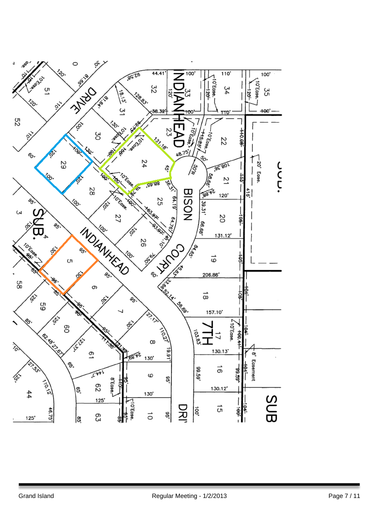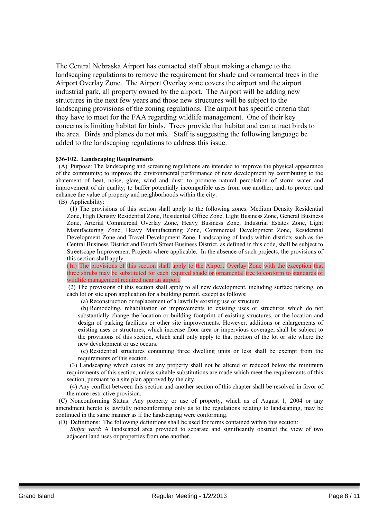The Central Nebraska Airport has contacted staff about making a change to the landscaping regulations to remove the requirement for shade and ornamental trees in the Airport Overlay Zone. The Airport Overlay zone covers the airport and the airport industrial park, all property owned by the airport. The Airport will be adding new structures in the next few years and those new structures will be subject to the landscaping provisions of the zoning regulations. The airport has specific criteria that they have to meet for the FAA regarding wildlife management. One of their key concerns is limiting habitat for birds. Trees provide that habitat and can attract birds to the area. Birds and planes do not mix. Staff is suggesting the following language be added to the landscaping regulations to address this issue.

#### **§36-102. Landscaping Requirements**

(A) Purpose: The landscaping and screening regulations are intended to improve the physical appearance of the community; to improve the environmental performance of new development by contributing to the abatement of heat, noise, glare, wind and dust; to promote natural percolation of storm water and improvement of air quality; to buffer potentially incompatible uses from one another; and, to protect and enhance the value of property and neighborhoods within the city.

(B) Applicability:

(1) The provisions of this section shall apply to the following zones: Medium Density Residential Zone, High Density Residential Zone, Residential Office Zone, Light Business Zone, General Business Zone, Arterial Commercial Overlay Zone, Heavy Business Zone, Industrial Estates Zone, Light Manufacturing Zone, Heavy Manufacturing Zone, Commercial Development Zone, Residential Development Zone and Travel Development Zone. Landscaping of lands within districts such as the Central Business District and Fourth Street Business District, as defined in this code, shall be subject to Streetscape Improvement Projects where applicable. In the absence of such projects, the provisions of this section shall apply.

(1a) The provisions of this section shall apply to the Airport Overlay Zone with the exception that three shrubs may be substituted for each required shade or ornamental tree to conform to standards of wildlife management required near an airport.

(2) The provisions of this section shall apply to all new development, including surface parking, on each lot or site upon application for a building permit, except as follows:

(a) Reconstruction or replacement of a lawfully existing use or structure.

(b) Remodeling, rehabilitation or improvements to existing uses or structures which do not substantially change the location or building footprint of existing structures, or the location and design of parking facilities or other site improvements. However, additions or enlargements of existing uses or structures, which increase floor area or impervious coverage, shall be subject to the provisions of this section, which shall only apply to that portion of the lot or site where the new development or use occurs.

(c) Residential structures containing three dwelling units or less shall be exempt from the requirements of this section.

(3) Landscaping which exists on any property shall not be altered or reduced below the minimum requirements of this section, unless suitable substitutions are made which meet the requirements of this section, pursuant to a site plan approved by the city.

(4) Any conflict between this section and another section of this chapter shall be resolved in favor of the more restrictive provision.

(C) Nonconforming Status: Any property or use of property, which as of August 1, 2004 or any amendment hereto is lawfully nonconforming only as to the regulations relating to landscaping, may be continued in the same manner as if the landscaping were conforming.

(D) Definitions: The following definitions shall be used for terms contained within this section:

*Buffer yard*: A landscaped area provided to separate and significantly obstruct the view of two adjacent land uses or properties from one another.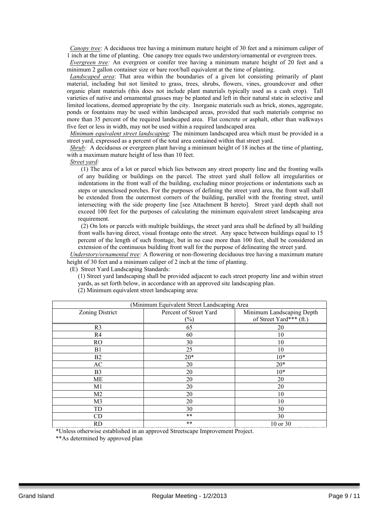*Canopy tree*: A deciduous tree having a minimum mature height of 30 feet and a minimum caliper of 1 inch at the time of planting. One canopy tree equals two understory/ornamental or evergreen trees.

*Evergreen tree:* An evergreen or conifer tree having a minimum mature height of 20 feet and a minimum 2 gallon container size or bare root/ball equivalent at the time of planting.

*Landscaped area*: That area within the boundaries of a given lot consisting primarily of plant material, including but not limited to grass, trees, shrubs, flowers, vines, groundcover and other organic plant materials (this does not include plant materials typically used as a cash crop). Tall varieties of native and ornamental grasses may be planted and left in their natural state in selective and limited locations, deemed appropriate by the city. Inorganic materials such as brick, stones, aggregate, ponds or fountains may be used within landscaped areas, provided that such materials comprise no more than 35 percent of the required landscaped area. Flat concrete or asphalt, other than walkways five feet or less in width, may not be used within a required landscaped area.

*Minimum equivalent street landscaping*: The minimum landscaped area which must be provided in a street yard, expressed as a percent of the total area contained within that street yard.

*Shrub:* A deciduous or evergreen plant having a minimum height of 18 inches at the time of planting, with a maximum mature height of less than 10 feet.

*Street yard:*

(1) The area of a lot or parcel which lies between any street property line and the fronting walls of any building or buildings on the parcel. The street yard shall follow all irregularities or indentations in the front wall of the building, excluding minor projections or indentations such as steps or unenclosed porches. For the purposes of defining the street yard area, the front wall shall be extended from the outermost corners of the building, parallel with the fronting street, until intersecting with the side property line [see Attachment B hereto]. Street yard depth shall not exceed 100 feet for the purposes of calculating the minimum equivalent street landscaping area requirement.

(2) On lots or parcels with multiple buildings, the street yard area shall be defined by all building front walls having direct, visual frontage onto the street. Any space between buildings equal to 15 percent of the length of such frontage, but in no case more than 100 feet, shall be considered an extension of the continuous building front wall for the purpose of delineating the street yard.

*Understory/ornamental tree:* A flowering or non-flowering deciduous tree having a maximum mature height of 30 feet and a minimum caliper of 2 inch at the time of planting.

(E) Street Yard Landscaping Standards:

(1) Street yard landscaping shall be provided adjacent to each street property line and within street yards, as set forth below, in accordance with an approved site landscaping plan.

(2) Minimum equivalent street landscaping area:

| (Minimum Equivalent Street Landscaping Area |                        |                           |
|---------------------------------------------|------------------------|---------------------------|
| Zoning District                             | Percent of Street Yard | Minimum Landscaping Depth |
|                                             | $(\%)$                 | of Street Yard*** (ft.)   |
| R <sub>3</sub>                              | 65                     | 20                        |
| R4                                          | 60                     | 10                        |
| RO                                          | 30                     | 10                        |
| B1                                          | 25                     | 10                        |
| B2                                          | $20*$                  | $10*$                     |
| AC                                          | 20                     | $20*$                     |
| B <sub>3</sub>                              | 20                     | $10*$                     |
| ME                                          | 20                     | 20                        |
| M1                                          | 20                     | 20                        |
| M <sub>2</sub>                              | 20                     | 10                        |
| M <sub>3</sub>                              | 20                     | 10                        |
| TD                                          | 30                     | 30                        |
| CD                                          | $***$                  | 30                        |
| <b>RD</b>                                   | $***$                  | 10 or 30                  |

\*Unless otherwise established in an approved Streetscape Improvement Project.

\*\*As determined by approved plan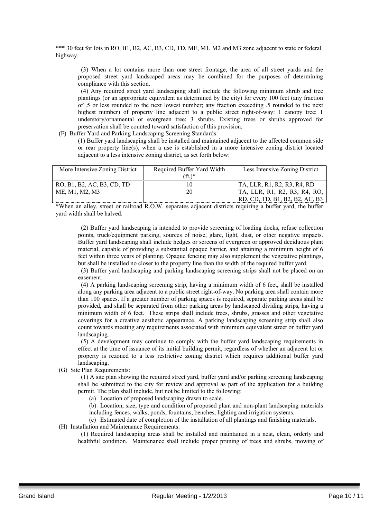\*\*\* 30 feet for lots in RO, B1, B2, AC, B3, CD, TD, ME, M1, M2 and M3 zone adjacent to state or federal highway.

(3) When a lot contains more than one street frontage, the area of all street yards and the proposed street yard landscaped areas may be combined for the purposes of determining compliance with this section.

(4) Any required street yard landscaping shall include the following minimum shrub and tree plantings (or an appropriate equivalent as determined by the city) for every 100 feet (any fraction of .5 or less rounded to the next lowest number; any fraction exceeding .5 rounded to the next highest number) of property line adjacent to a public street right-of-way: 1 canopy tree: 1 understory/ornamental or evergreen tree; 3 shrubs. Existing trees or shrubs approved for preservation shall be counted toward satisfaction of this provision.

(F) Buffer Yard and Parking Landscaping Screening Standards:

(1) Buffer yard landscaping shall be installed and maintained adjacent to the affected common side or rear property line(s), when a use is established in a more intensive zoning district located adjacent to a less intensive zoning district, as set forth below:

| More Intensive Zoning District | Required Buffer Yard Width | Less Intensive Zoning District |
|--------------------------------|----------------------------|--------------------------------|
|                                | $(ft)$ *                   |                                |
| RO, B1, B2, AC, B3, CD, TD     |                            | TA, LLR, R1, R2, R3, R4, RD    |
| ME, M1, M2, M3                 | 20                         | TA, LLR, R1, R2, R3, R4, RO,   |
|                                |                            | RD, CD, TD, B1, B2, B2, AC, B3 |

\*When an alley, street or railroad R.O.W. separates adjacent districts requiring a buffer yard, the buffer yard width shall be halved.

(2) Buffer yard landscaping is intended to provide screening of loading docks, refuse collection points, truck/equipment parking, sources of noise, glare, light, dust, or other negative impacts. Buffer yard landscaping shall include hedges or screens of evergreen or approved deciduous plant material, capable of providing a substantial opaque barrier, and attaining a minimum height of 6 feet within three years of planting. Opaque fencing may also supplement the vegetative plantings, but shall be installed no closer to the property line than the width of the required buffer yard.

(3) Buffer yard landscaping and parking landscaping screening strips shall not be placed on an easement.

(4) A parking landscaping screening strip, having a minimum width of 6 feet, shall be installed along any parking area adjacent to a public street right-of-way. No parking area shall contain more than 100 spaces. If a greater number of parking spaces is required, separate parking areas shall be provided, and shall be separated from other parking areas by landscaped dividing strips, having a minimum width of 6 feet. These strips shall include trees, shrubs, grasses and other vegetative coverings for a creative aesthetic appearance. A parking landscaping screening strip shall also count towards meeting any requirements associated with minimum equivalent street or buffer yard landscaping.

(5) A development may continue to comply with the buffer yard landscaping requirements in effect at the time of issuance of its initial building permit, regardless of whether an adjacent lot or property is rezoned to a less restrictive zoning district which requires additional buffer yard landscaping.

(G) Site Plan Requirements:

(1) A site plan showing the required street yard, buffer yard and/or parking screening landscaping shall be submitted to the city for review and approval as part of the application for a building permit. The plan shall include, but not be limited to the following:

(a) Location of proposed landscaping drawn to scale.

(b) Location, size, type and condition of proposed plant and non-plant landscaping materials including fences, walks, ponds, fountains, benches, lighting and irrigation systems.

(c) Estimated date of completion of the installation of all plantings and finishing materials. (H) Installation and Maintenance Requirements:

(1) Required landscaping areas shall be installed and maintained in a neat, clean, orderly and healthful condition. Maintenance shall include proper pruning of trees and shrubs, mowing of